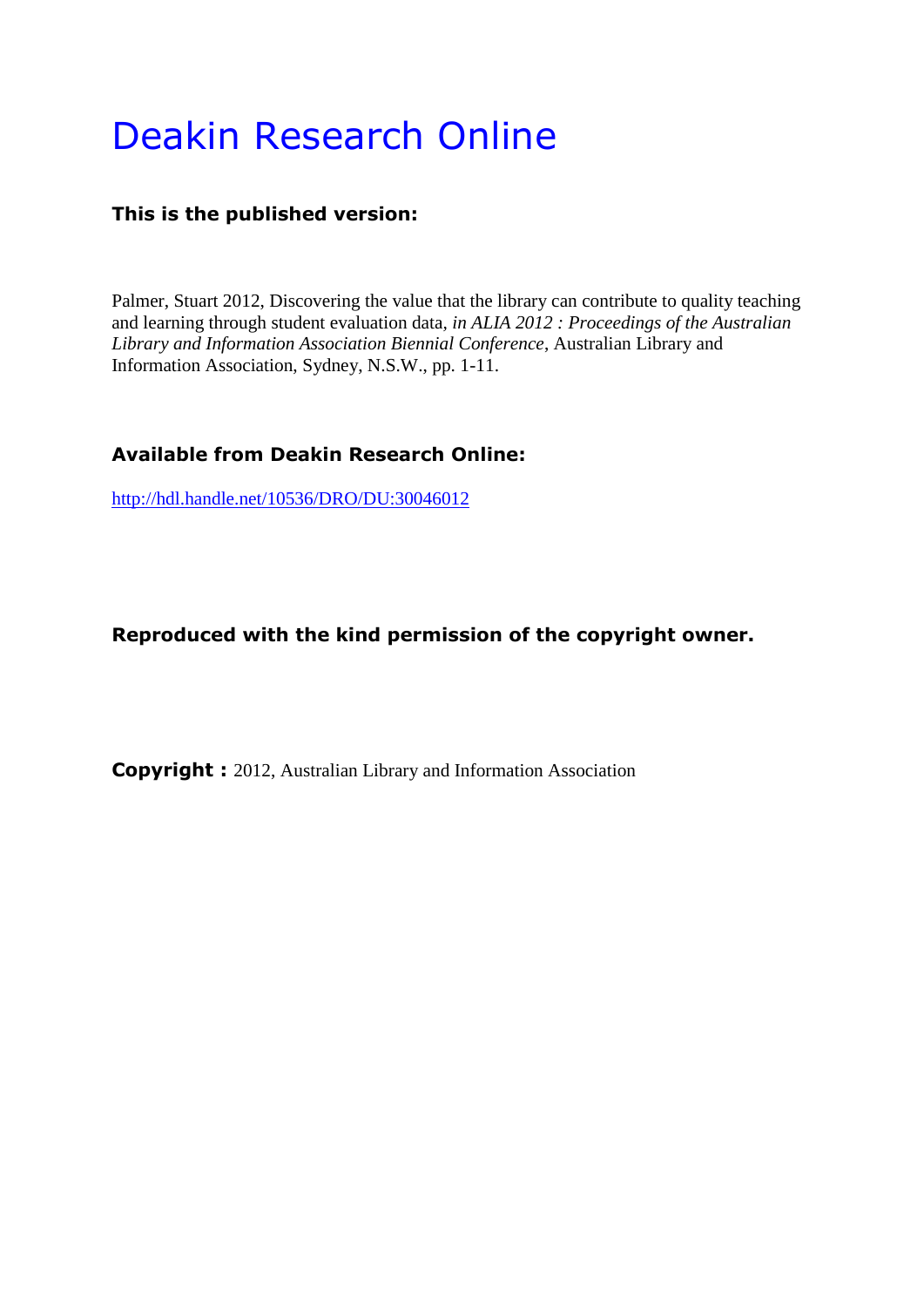# Deakin Research Online

# **This is the published version:**

Palmer, Stuart 2012, Discovering the value that the library can contribute to quality teaching and learning through student evaluation data*, in ALIA 2012 : Proceedings of the Australian Library and Information Association Biennial Conference*, Australian Library and Information Association, Sydney, N.S.W., pp. 1-11.

# **Available from Deakin Research Online:**

<http://hdl.handle.net/10536/DRO/DU:30046012>

# **Reproduced with the kind permission of the copyright owner.**

**Copyright :** 2012, Australian Library and Information Association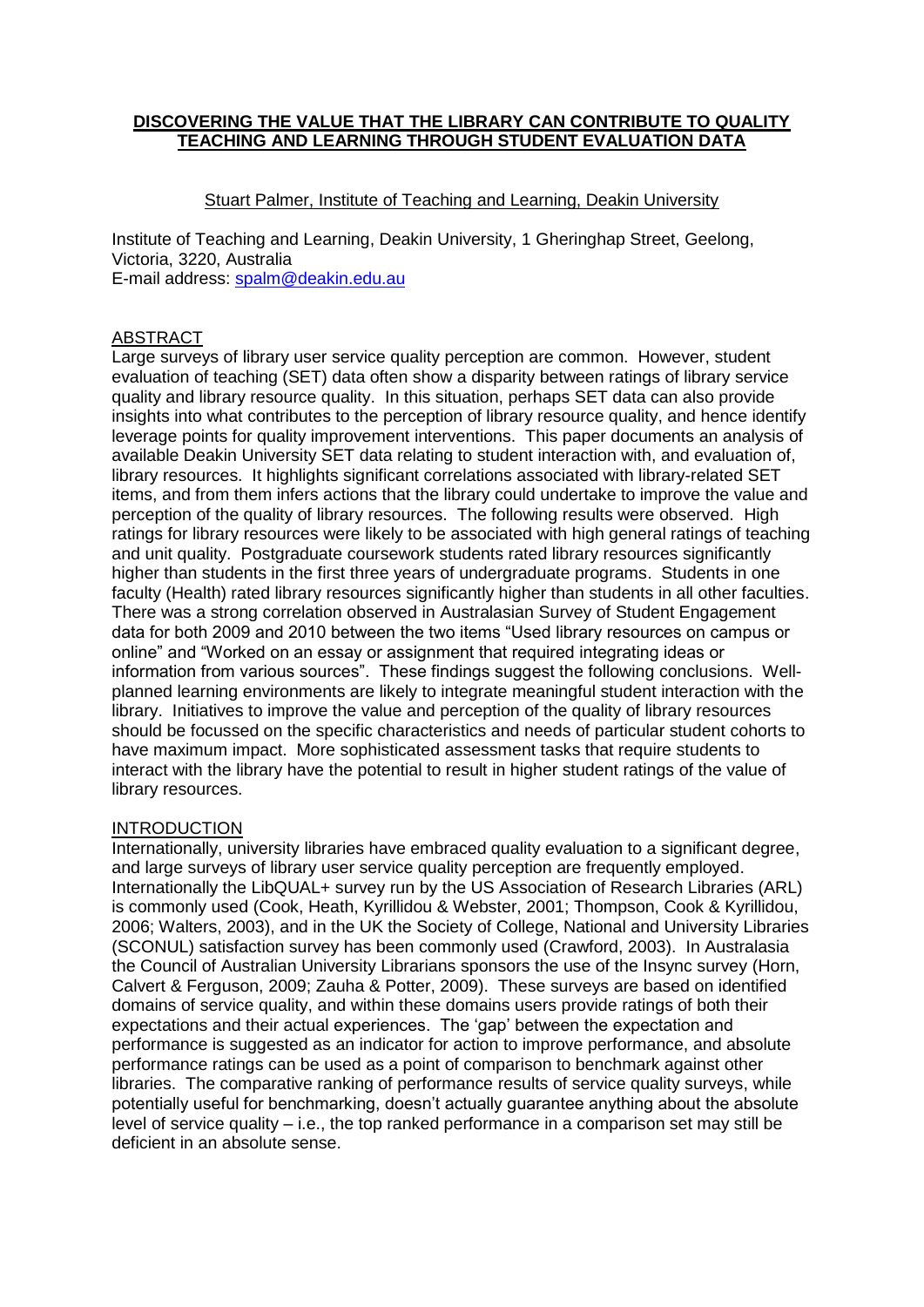## **DISCOVERING THE VALUE THAT THE LIBRARY CAN CONTRIBUTE TO QUALITY TEACHING AND LEARNING THROUGH STUDENT EVALUATION DATA**

# Stuart Palmer, Institute of Teaching and Learning, Deakin University

Institute of Teaching and Learning, Deakin University, 1 Gheringhap Street, Geelong, Victoria, 3220, Australia E-mail address: [spalm@deakin.edu.au](mailto:spalm@deakin.edu.au)

#### ABSTRACT

Large surveys of library user service quality perception are common. However, student evaluation of teaching (SET) data often show a disparity between ratings of library service quality and library resource quality. In this situation, perhaps SET data can also provide insights into what contributes to the perception of library resource quality, and hence identify leverage points for quality improvement interventions. This paper documents an analysis of available Deakin University SET data relating to student interaction with, and evaluation of, library resources. It highlights significant correlations associated with library-related SET items, and from them infers actions that the library could undertake to improve the value and perception of the quality of library resources. The following results were observed. High ratings for library resources were likely to be associated with high general ratings of teaching and unit quality. Postgraduate coursework students rated library resources significantly higher than students in the first three years of undergraduate programs. Students in one faculty (Health) rated library resources significantly higher than students in all other faculties. There was a strong correlation observed in Australasian Survey of Student Engagement data for both 2009 and 2010 between the two items "Used library resources on campus or online" and "Worked on an essay or assignment that required integrating ideas or information from various sources". These findings suggest the following conclusions. Wellplanned learning environments are likely to integrate meaningful student interaction with the library. Initiatives to improve the value and perception of the quality of library resources should be focussed on the specific characteristics and needs of particular student cohorts to have maximum impact. More sophisticated assessment tasks that require students to interact with the library have the potential to result in higher student ratings of the value of library resources.

#### INTRODUCTION

Internationally, university libraries have embraced quality evaluation to a significant degree, and large surveys of library user service quality perception are frequently employed. Internationally the LibQUAL+ survey run by the US Association of Research Libraries (ARL) is commonly used [\(Cook, Heath, Kyrillidou & Webster, 2001;](#page-10-0) [Thompson, Cook & Kyrillidou,](#page-11-0)  [2006;](#page-11-0) [Walters, 2003\)](#page-11-1), and in the UK the Society of College, National and University Libraries (SCONUL) satisfaction survey has been commonly used [\(Crawford, 2003\)](#page-10-1). In Australasia the Council of Australian University Librarians sponsors the use of the Insync survey [\(Horn,](#page-11-2)  [Calvert & Ferguson, 2009;](#page-11-2) [Zauha & Potter, 2009\)](#page-11-3). These surveys are based on identified domains of service quality, and within these domains users provide ratings of both their expectations and their actual experiences. The "gap" between the expectation and performance is suggested as an indicator for action to improve performance, and absolute performance ratings can be used as a point of comparison to benchmark against other libraries. The comparative ranking of performance results of service quality surveys, while potentially useful for benchmarking, doesn"t actually guarantee anything about the absolute level of service quality  $-$  i.e., the top ranked performance in a comparison set may still be deficient in an absolute sense.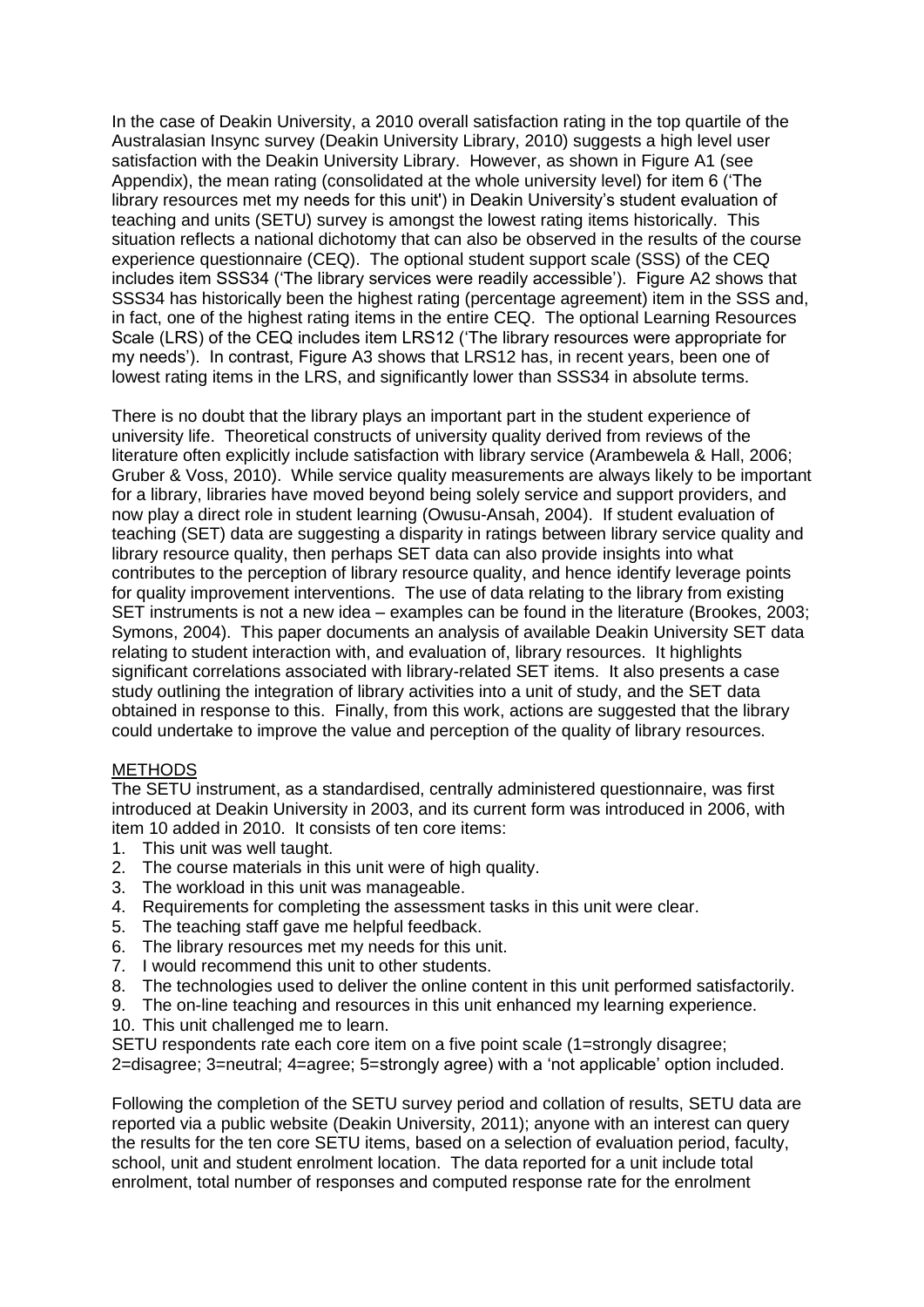In the case of Deakin University, a 2010 overall satisfaction rating in the top quartile of the Australasian Insync survey [\(Deakin University Library, 2010\)](#page-10-2) suggests a high level user satisfaction with the Deakin University Library. However, as shown in Figure A1 (see Appendix), the mean rating (consolidated at the whole university level) for item 6 ("The library resources met my needs for this unit') in Deakin University"s student evaluation of teaching and units (SETU) survey is amongst the lowest rating items historically. This situation reflects a national dichotomy that can also be observed in the results of the course experience questionnaire (CEQ). The optional student support scale (SSS) of the CEQ includes item SSS34 ("The library services were readily accessible"). Figure A2 shows that SSS34 has historically been the highest rating (percentage agreement) item in the SSS and, in fact, one of the highest rating items in the entire CEQ. The optional Learning Resources Scale (LRS) of the CEQ includes item LRS12 ("The library resources were appropriate for my needs"). In contrast, Figure A3 shows that LRS12 has, in recent years, been one of lowest rating items in the LRS, and significantly lower than SSS34 in absolute terms.

There is no doubt that the library plays an important part in the student experience of university life. Theoretical constructs of university quality derived from reviews of the literature often explicitly include satisfaction with library service [\(Arambewela & Hall, 2006;](#page-10-3) [Gruber & Voss, 2010\)](#page-11-4). While service quality measurements are always likely to be important for a library, libraries have moved beyond being solely service and support providers, and now play a direct role in student learning [\(Owusu-Ansah, 2004\)](#page-11-5). If student evaluation of teaching (SET) data are suggesting a disparity in ratings between library service quality and library resource quality, then perhaps SET data can also provide insights into what contributes to the perception of library resource quality, and hence identify leverage points for quality improvement interventions. The use of data relating to the library from existing SET instruments is not a new idea – examples can be found in the literature [\(Brookes, 2003;](#page-10-4) [Symons, 2004\)](#page-11-6). This paper documents an analysis of available Deakin University SET data relating to student interaction with, and evaluation of, library resources. It highlights significant correlations associated with library-related SET items. It also presents a case study outlining the integration of library activities into a unit of study, and the SET data obtained in response to this. Finally, from this work, actions are suggested that the library could undertake to improve the value and perception of the quality of library resources.

# **METHODS**

The SETU instrument, as a standardised, centrally administered questionnaire, was first introduced at Deakin University in 2003, and its current form was introduced in 2006, with item 10 added in 2010. It consists of ten core items:

- 1. This unit was well taught.
- 2. The course materials in this unit were of high quality.
- 3. The workload in this unit was manageable.
- 4. Requirements for completing the assessment tasks in this unit were clear.
- 5. The teaching staff gave me helpful feedback.
- 6. The library resources met my needs for this unit.
- 7. I would recommend this unit to other students.
- 8. The technologies used to deliver the online content in this unit performed satisfactorily.
- 9. The on-line teaching and resources in this unit enhanced my learning experience.
- 10. This unit challenged me to learn.

SETU respondents rate each core item on a five point scale (1=strongly disagree; 2=disagree; 3=neutral; 4=agree; 5=strongly agree) with a "not applicable" option included.

Following the completion of the SETU survey period and collation of results, SETU data are reported via a public website [\(Deakin University, 2011\)](#page-10-5); anyone with an interest can query the results for the ten core SETU items, based on a selection of evaluation period, faculty, school, unit and student enrolment location. The data reported for a unit include total enrolment, total number of responses and computed response rate for the enrolment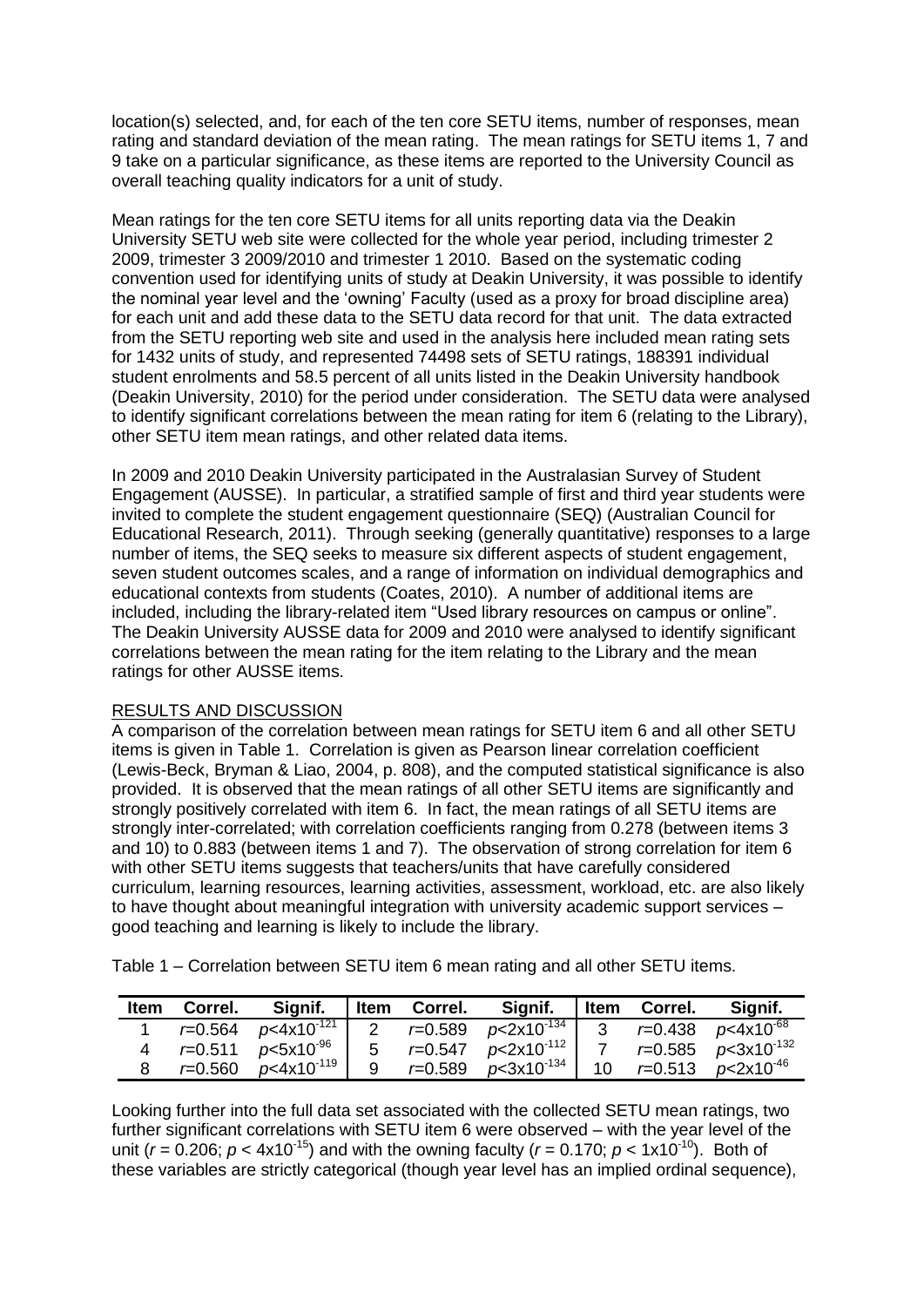location(s) selected, and, for each of the ten core SETU items, number of responses, mean rating and standard deviation of the mean rating. The mean ratings for SETU items 1, 7 and 9 take on a particular significance, as these items are reported to the University Council as overall teaching quality indicators for a unit of study.

Mean ratings for the ten core SETU items for all units reporting data via the Deakin University SETU web site were collected for the whole year period, including trimester 2 2009, trimester 3 2009/2010 and trimester 1 2010. Based on the systematic coding convention used for identifying units of study at Deakin University, it was possible to identify the nominal year level and the "owning" Faculty (used as a proxy for broad discipline area) for each unit and add these data to the SETU data record for that unit. The data extracted from the SETU reporting web site and used in the analysis here included mean rating sets for 1432 units of study, and represented 74498 sets of SETU ratings, 188391 individual student enrolments and 58.5 percent of all units listed in the Deakin University handbook [\(Deakin University, 2010\)](#page-10-6) for the period under consideration. The SETU data were analysed to identify significant correlations between the mean rating for item 6 (relating to the Library), other SETU item mean ratings, and other related data items.

In 2009 and 2010 Deakin University participated in the Australasian Survey of Student Engagement (AUSSE). In particular, a stratified sample of first and third year students were invited to complete the student engagement questionnaire (SEQ) [\(Australian Council for](#page-10-7)  [Educational Research, 2011\)](#page-10-7). Through seeking (generally quantitative) responses to a large number of items, the SEQ seeks to measure six different aspects of student engagement, seven student outcomes scales, and a range of information on individual demographics and educational contexts from students [\(Coates, 2010\)](#page-10-8). A number of additional items are included, including the library-related item "Used library resources on campus or online". The Deakin University AUSSE data for 2009 and 2010 were analysed to identify significant correlations between the mean rating for the item relating to the Library and the mean ratings for other AUSSE items.

# RESULTS AND DISCUSSION

A comparison of the correlation between mean ratings for SETU item 6 and all other SETU items is given in Table 1. Correlation is given as Pearson linear correlation coefficient [\(Lewis-Beck, Bryman & Liao, 2004, p. 808\)](#page-11-7), and the computed statistical significance is also provided. It is observed that the mean ratings of all other SETU items are significantly and strongly positively correlated with item 6. In fact, the mean ratings of all SETU items are strongly inter-correlated; with correlation coefficients ranging from 0.278 (between items 3 and 10) to 0.883 (between items 1 and 7). The observation of strong correlation for item 6 with other SETU items suggests that teachers/units that have carefully considered curriculum, learning resources, learning activities, assessment, workload, etc. are also likely to have thought about meaningful integration with university academic support services – good teaching and learning is likely to include the library.

Table 1 – Correlation between SETU item 6 mean rating and all other SETU items.

| <b>Item</b> | Correl.     | Signif.                            | Item | Correl.     | Signif.                     | Item           | Correl. | Signif.                              |
|-------------|-------------|------------------------------------|------|-------------|-----------------------------|----------------|---------|--------------------------------------|
|             | $r = 0.564$ | $p<4x10^{-121}$                    |      |             | 2 $r=0.589$ $p<2x10^{-134}$ | $\overline{3}$ |         |                                      |
|             | $r = 0.511$ | $p < 5x10^{-96}$                   | 5    |             | $r=0.547$ $p<2x10^{-112}$ 1 |                |         | $r = 0.585$ $p < 3 \times 10^{-132}$ |
|             | $r = 0.560$ | $\degree$ p<4x10 <sup>-119</sup> l |      | $r = 0.589$ | $p<$ 3x10 <sup>-134</sup>   | 10             |         | $r = 0.513$ $p < 2x10^{-46}$         |

Looking further into the full data set associated with the collected SETU mean ratings, two further significant correlations with SETU item 6 were observed – with the year level of the unit ( $r = 0.206$ ;  $p < 4x10^{-15}$ ) and with the owning faculty ( $r = 0.170$ ;  $p < 1x10^{-10}$ ). Both of these variables are strictly categorical (though year level has an implied ordinal sequence),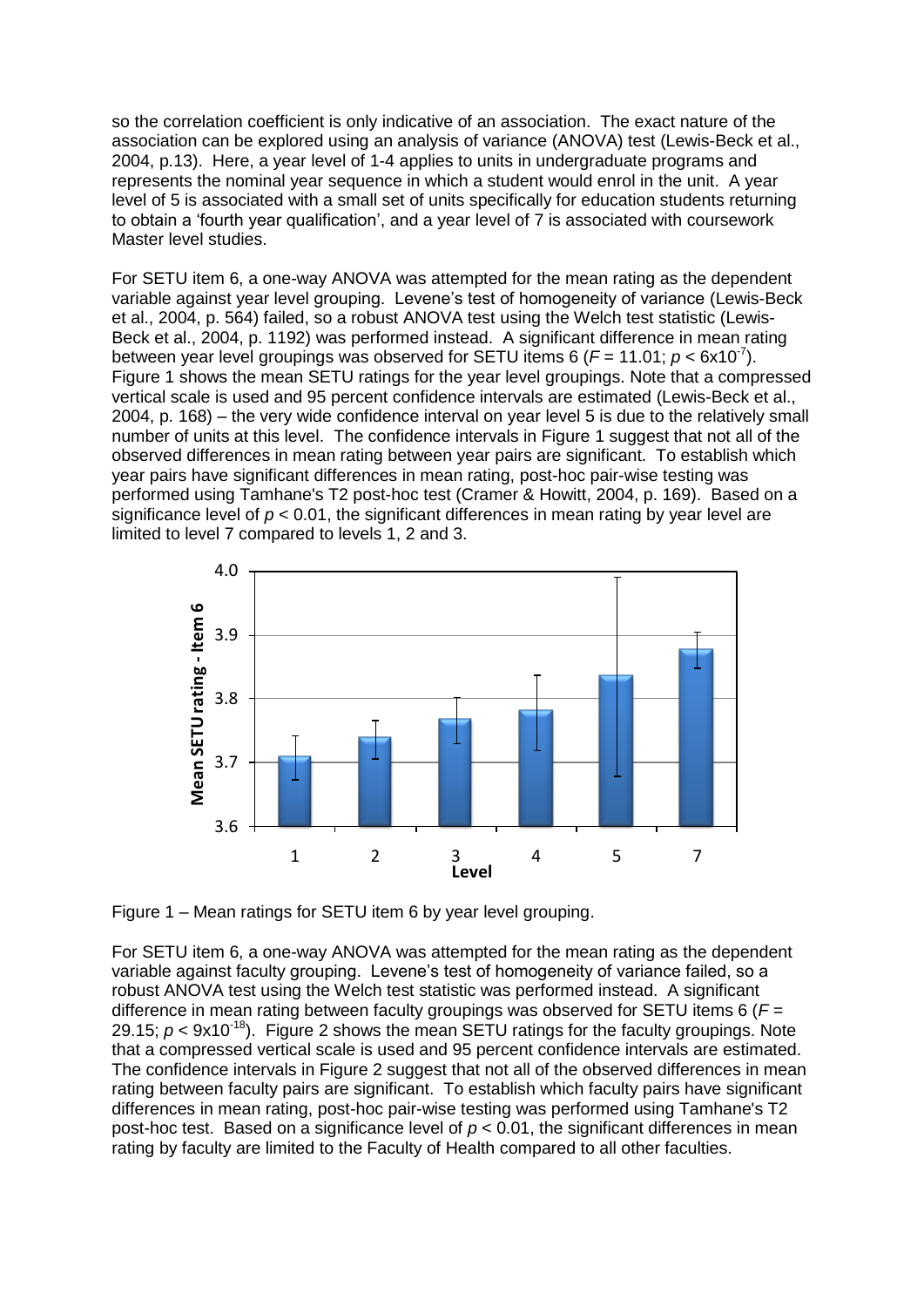so the correlation coefficient is only indicative of an association. The exact nature of the association can be explored using an analysis of variance (ANOVA) test [\(Lewis-Beck et al.,](#page-11-7)  [2004, p.13\)](#page-11-7). Here, a year level of 1-4 applies to units in undergraduate programs and represents the nominal year sequence in which a student would enrol in the unit. A year level of 5 is associated with a small set of units specifically for education students returning to obtain a "fourth year qualification", and a year level of 7 is associated with coursework Master level studies.

For SETU item 6, a one-way ANOVA was attempted for the mean rating as the dependent variable against year level grouping. Levene"s test of homogeneity of variance [\(Lewis-Beck](#page-11-7)  [et al., 2004, p. 564\)](#page-11-7) failed, so a robust ANOVA test using the Welch test statistic [\(Lewis-](#page-11-7)[Beck et al., 2004, p. 1192\)](#page-11-7) was performed instead. A significant difference in mean rating between year level groupings was observed for SETU items 6 ( $F = 11.01$ ;  $p < 6x10<sup>-7</sup>$ ). Figure 1 shows the mean SETU ratings for the year level groupings. Note that a compressed vertical scale is used and 95 percent confidence intervals are estimated [\(Lewis-Beck et al.,](#page-11-7)  [2004, p. 168\)](#page-11-7) – the very wide confidence interval on year level 5 is due to the relatively small number of units at this level. The confidence intervals in Figure 1 suggest that not all of the observed differences in mean rating between year pairs are significant. To establish which year pairs have significant differences in mean rating, post-hoc pair-wise testing was performed using Tamhane's T2 post-hoc test [\(Cramer & Howitt, 2004, p. 169\)](#page-10-9). Based on a significance level of  $p < 0.01$ , the significant differences in mean rating by year level are limited to level 7 compared to levels 1, 2 and 3.



Figure 1 – Mean ratings for SETU item 6 by year level grouping.

For SETU item 6, a one-way ANOVA was attempted for the mean rating as the dependent variable against faculty grouping. Levene's test of homogeneity of variance failed, so a robust ANOVA test using the Welch test statistic was performed instead. A significant difference in mean rating between faculty groupings was observed for SETU items 6 (*F* = 29.15;  $p < 9x10^{-18}$ ). Figure 2 shows the mean SETU ratings for the faculty groupings. Note that a compressed vertical scale is used and 95 percent confidence intervals are estimated. The confidence intervals in Figure 2 suggest that not all of the observed differences in mean rating between faculty pairs are significant. To establish which faculty pairs have significant differences in mean rating, post-hoc pair-wise testing was performed using Tamhane's T2 post-hoc test. Based on a significance level of  $p < 0.01$ , the significant differences in mean rating by faculty are limited to the Faculty of Health compared to all other faculties.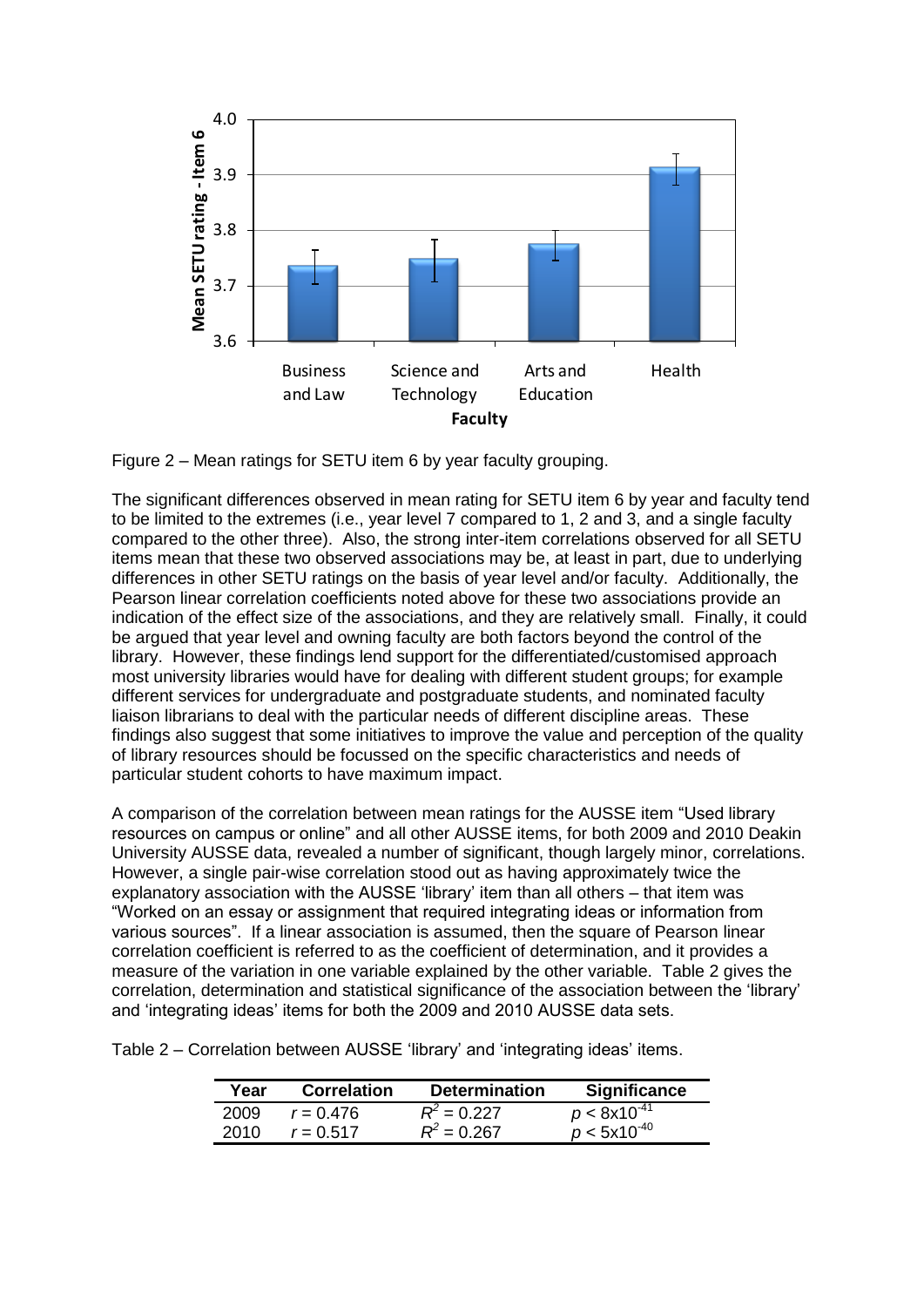

Figure 2 – Mean ratings for SETU item 6 by year faculty grouping.

The significant differences observed in mean rating for SETU item 6 by year and faculty tend to be limited to the extremes (i.e., year level 7 compared to 1, 2 and 3, and a single faculty compared to the other three). Also, the strong inter-item correlations observed for all SETU items mean that these two observed associations may be, at least in part, due to underlying differences in other SETU ratings on the basis of year level and/or faculty. Additionally, the Pearson linear correlation coefficients noted above for these two associations provide an indication of the effect size of the associations, and they are relatively small. Finally, it could be argued that year level and owning faculty are both factors beyond the control of the library. However, these findings lend support for the differentiated/customised approach most university libraries would have for dealing with different student groups; for example different services for undergraduate and postgraduate students, and nominated faculty liaison librarians to deal with the particular needs of different discipline areas. These findings also suggest that some initiatives to improve the value and perception of the quality of library resources should be focussed on the specific characteristics and needs of particular student cohorts to have maximum impact.

A comparison of the correlation between mean ratings for the AUSSE item "Used library resources on campus or online" and all other AUSSE items, for both 2009 and 2010 Deakin University AUSSE data, revealed a number of significant, though largely minor, correlations. However, a single pair-wise correlation stood out as having approximately twice the explanatory association with the AUSSE "library" item than all others – that item was "Worked on an essay or assignment that required integrating ideas or information from various sources". If a linear association is assumed, then the square of Pearson linear correlation coefficient is referred to as the coefficient of determination, and it provides a measure of the variation in one variable explained by the other variable. Table 2 gives the correlation, determination and statistical significance of the association between the "library" and "integrating ideas" items for both the 2009 and 2010 AUSSE data sets.

Table 2 – Correlation between AUSSE "library" and "integrating ideas" items.

| Year | <b>Correlation</b> | <b>Determination</b> | <b>Significance</b> |
|------|--------------------|----------------------|---------------------|
| 2009 | $r = 0.476$        | $R^2 = 0.227$        | $p < 8x10^{-41}$    |
| 2010 | $r = 0.517$        | $R^2 = 0.267$        | $p < 5x10^{-40}$    |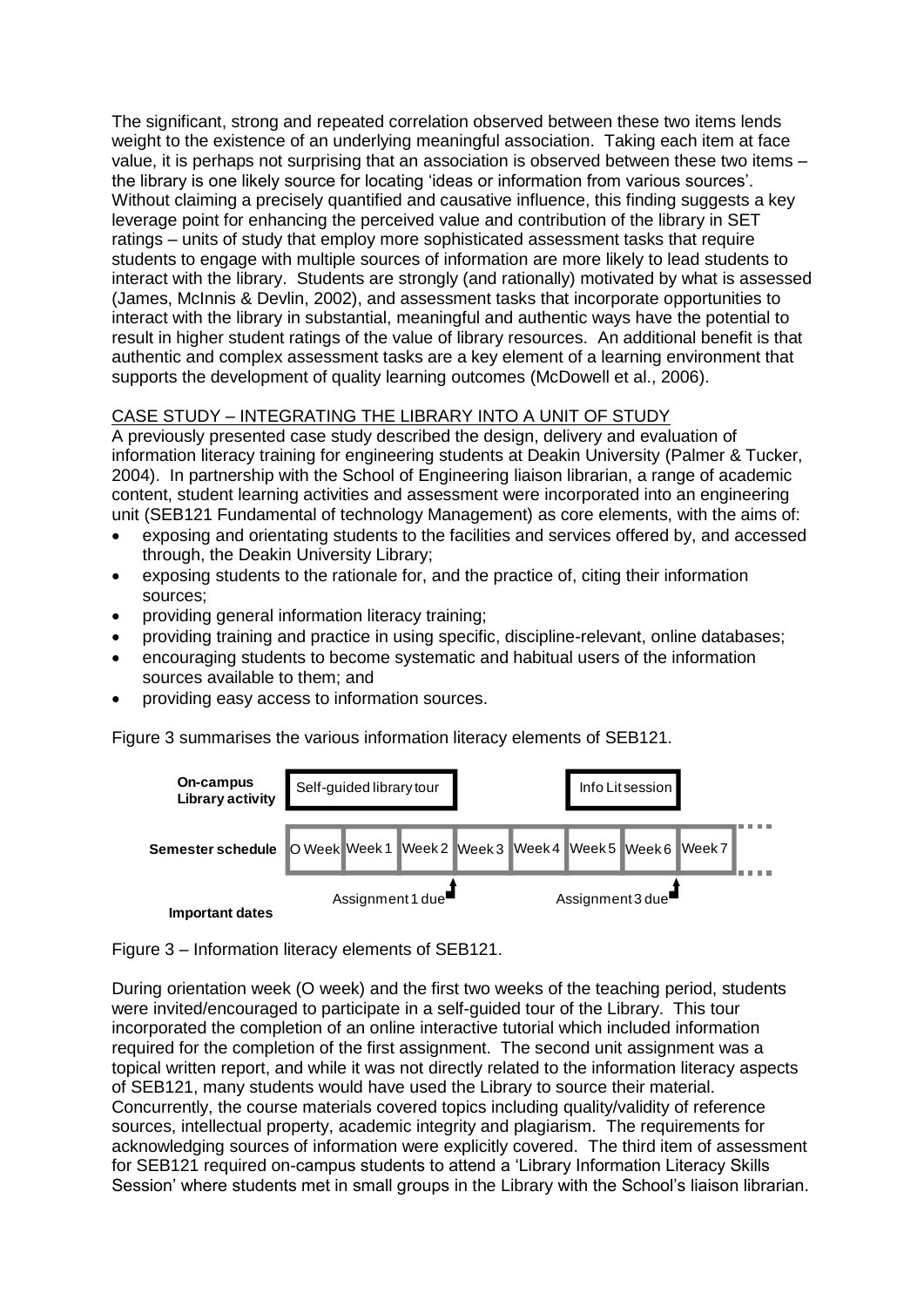The significant, strong and repeated correlation observed between these two items lends weight to the existence of an underlying meaningful association. Taking each item at face value, it is perhaps not surprising that an association is observed between these two items – the library is one likely source for locating "ideas or information from various sources". Without claiming a precisely quantified and causative influence, this finding suggests a key leverage point for enhancing the perceived value and contribution of the library in SET ratings – units of study that employ more sophisticated assessment tasks that require students to engage with multiple sources of information are more likely to lead students to interact with the library. Students are strongly (and rationally) motivated by what is assessed [\(James, McInnis & Devlin, 2002\)](#page-11-8), and assessment tasks that incorporate opportunities to interact with the library in substantial, meaningful and authentic ways have the potential to result in higher student ratings of the value of library resources. An additional benefit is that authentic and complex assessment tasks are a key element of a learning environment that supports the development of quality learning outcomes [\(McDowell et al., 2006\)](#page-11-9).

# CASE STUDY – INTEGRATING THE LIBRARY INTO A UNIT OF STUDY

A previously presented case study described the design, delivery and evaluation of information literacy training for engineering students at Deakin University [\(Palmer & Tucker,](#page-11-10)  [2004\)](#page-11-10). In partnership with the School of Engineering liaison librarian, a range of academic content, student learning activities and assessment were incorporated into an engineering unit (SEB121 Fundamental of technology Management) as core elements, with the aims of:

- exposing and orientating students to the facilities and services offered by, and accessed through, the Deakin University Library;
- exposing students to the rationale for, and the practice of, citing their information sources;
- providing general information literacy training;
- providing training and practice in using specific, discipline-relevant, online databases;
- encouraging students to become systematic and habitual users of the information sources available to them; and
- providing easy access to information sources.

Figure 3 summarises the various information literacy elements of SEB121.



Figure 3 – Information literacy elements of SEB121.

During orientation week (O week) and the first two weeks of the teaching period, students were invited/encouraged to participate in a self-guided tour of the Library. This tour incorporated the completion of an online interactive tutorial which included information required for the completion of the first assignment. The second unit assignment was a topical written report, and while it was not directly related to the information literacy aspects of SEB121, many students would have used the Library to source their material. Concurrently, the course materials covered topics including quality/validity of reference sources, intellectual property, academic integrity and plagiarism. The requirements for acknowledging sources of information were explicitly covered. The third item of assessment for SEB121 required on-campus students to attend a "Library Information Literacy Skills Session' where students met in small groups in the Library with the School's liaison librarian.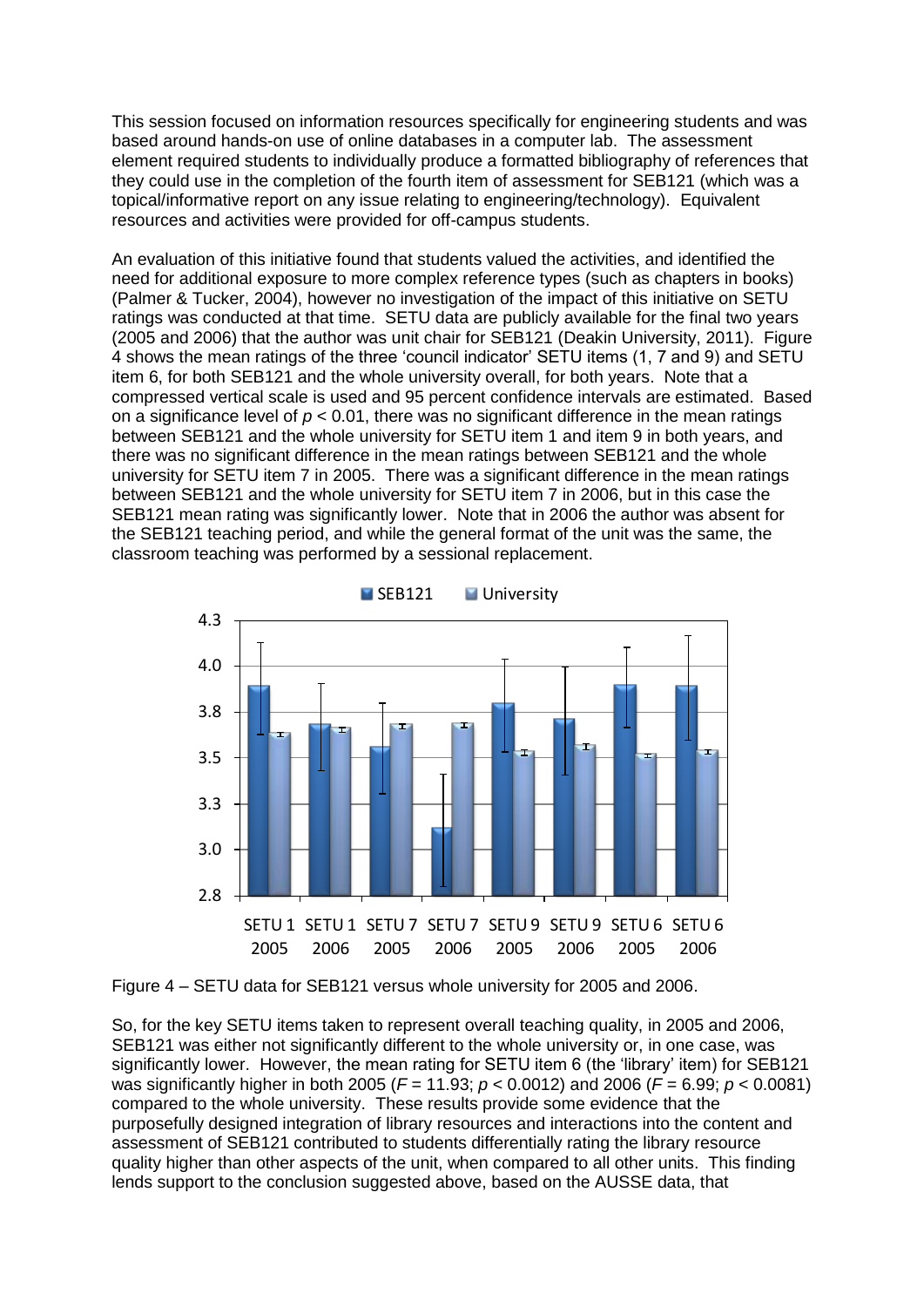This session focused on information resources specifically for engineering students and was based around hands-on use of online databases in a computer lab. The assessment element required students to individually produce a formatted bibliography of references that they could use in the completion of the fourth item of assessment for SEB121 (which was a topical/informative report on any issue relating to engineering/technology). Equivalent resources and activities were provided for off-campus students.

An evaluation of this initiative found that students valued the activities, and identified the need for additional exposure to more complex reference types (such as chapters in books) [\(Palmer & Tucker, 2004\)](#page-11-10), however no investigation of the impact of this initiative on SETU ratings was conducted at that time. SETU data are publicly available for the final two years (2005 and 2006) that the author was unit chair for SEB121 [\(Deakin University, 2011\)](#page-10-5). Figure 4 shows the mean ratings of the three "council indicator" SETU items (1, 7 and 9) and SETU item 6, for both SEB121 and the whole university overall, for both years. Note that a compressed vertical scale is used and 95 percent confidence intervals are estimated. Based on a significance level of *p* < 0.01, there was no significant difference in the mean ratings between SEB121 and the whole university for SETU item 1 and item 9 in both years, and there was no significant difference in the mean ratings between SEB121 and the whole university for SETU item 7 in 2005. There was a significant difference in the mean ratings between SEB121 and the whole university for SETU item 7 in 2006, but in this case the SEB121 mean rating was significantly lower. Note that in 2006 the author was absent for the SEB121 teaching period, and while the general format of the unit was the same, the classroom teaching was performed by a sessional replacement.



SEB121 **University** 

Figure 4 – SETU data for SEB121 versus whole university for 2005 and 2006.

So, for the key SETU items taken to represent overall teaching quality, in 2005 and 2006, SEB121 was either not significantly different to the whole university or, in one case, was significantly lower. However, the mean rating for SETU item 6 (the 'library' item) for SEB121 was significantly higher in both 2005 (*F* = 11.93; *p* < 0.0012) and 2006 (*F* = 6.99; *p* < 0.0081) compared to the whole university. These results provide some evidence that the purposefully designed integration of library resources and interactions into the content and assessment of SEB121 contributed to students differentially rating the library resource quality higher than other aspects of the unit, when compared to all other units. This finding lends support to the conclusion suggested above, based on the AUSSE data, that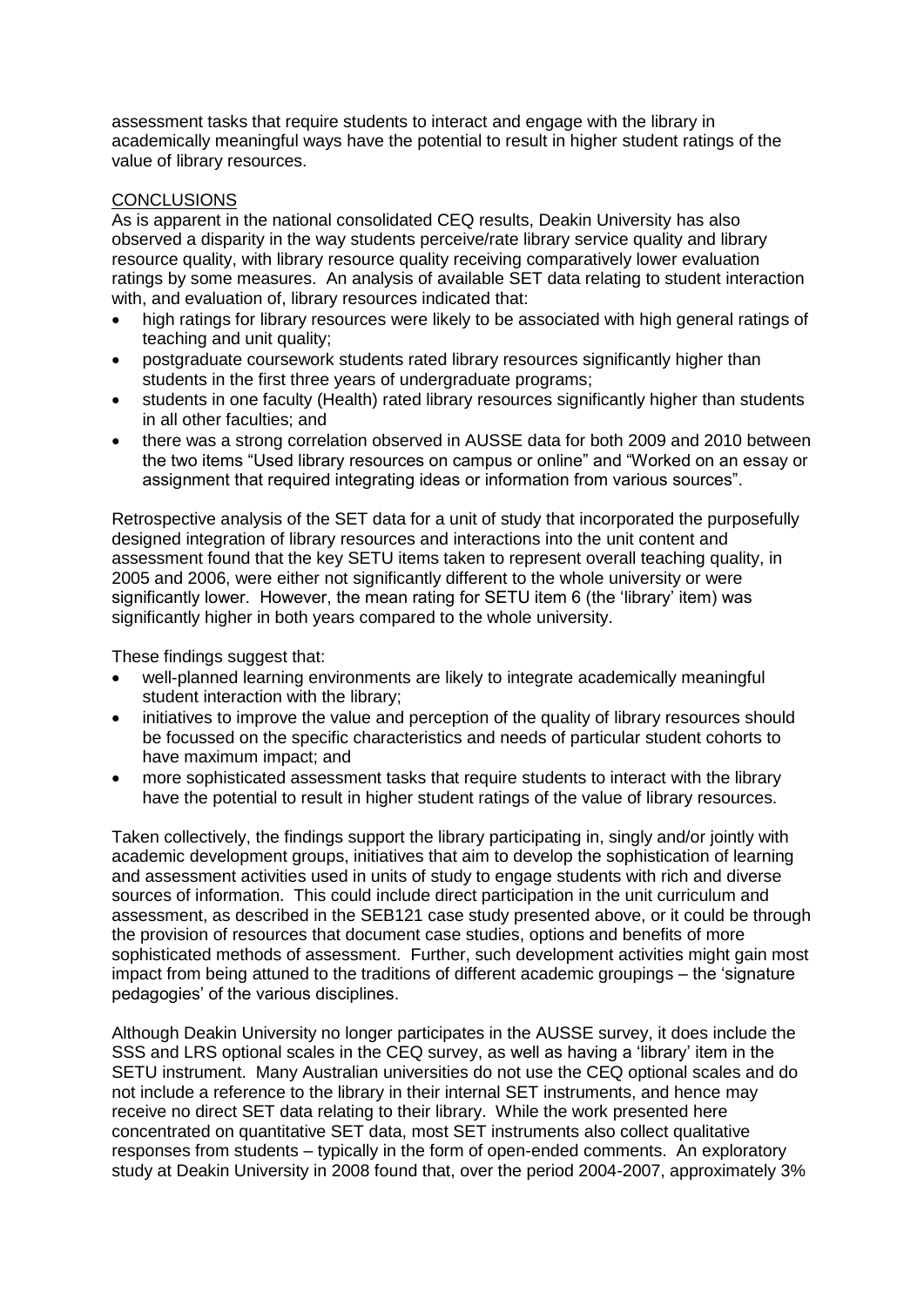assessment tasks that require students to interact and engage with the library in academically meaningful ways have the potential to result in higher student ratings of the value of library resources.

## **CONCLUSIONS**

As is apparent in the national consolidated CEQ results, Deakin University has also observed a disparity in the way students perceive/rate library service quality and library resource quality, with library resource quality receiving comparatively lower evaluation ratings by some measures. An analysis of available SET data relating to student interaction with, and evaluation of, library resources indicated that:

- high ratings for library resources were likely to be associated with high general ratings of teaching and unit quality;
- postgraduate coursework students rated library resources significantly higher than students in the first three years of undergraduate programs;
- students in one faculty (Health) rated library resources significantly higher than students in all other faculties; and
- there was a strong correlation observed in AUSSE data for both 2009 and 2010 between the two items "Used library resources on campus or online" and "Worked on an essay or assignment that required integrating ideas or information from various sources".

Retrospective analysis of the SET data for a unit of study that incorporated the purposefully designed integration of library resources and interactions into the unit content and assessment found that the key SETU items taken to represent overall teaching quality, in 2005 and 2006, were either not significantly different to the whole university or were significantly lower. However, the mean rating for SETU item 6 (the 'library' item) was significantly higher in both years compared to the whole university.

These findings suggest that:

- well-planned learning environments are likely to integrate academically meaningful student interaction with the library;
- initiatives to improve the value and perception of the quality of library resources should be focussed on the specific characteristics and needs of particular student cohorts to have maximum impact; and
- more sophisticated assessment tasks that require students to interact with the library have the potential to result in higher student ratings of the value of library resources.

Taken collectively, the findings support the library participating in, singly and/or jointly with academic development groups, initiatives that aim to develop the sophistication of learning and assessment activities used in units of study to engage students with rich and diverse sources of information. This could include direct participation in the unit curriculum and assessment, as described in the SEB121 case study presented above, or it could be through the provision of resources that document case studies, options and benefits of more sophisticated methods of assessment. Further, such development activities might gain most impact from being attuned to the traditions of different academic groupings – the "signature pedagogies" of the various disciplines.

Although Deakin University no longer participates in the AUSSE survey, it does include the SSS and LRS optional scales in the CEQ survey, as well as having a "library" item in the SETU instrument. Many Australian universities do not use the CEQ optional scales and do not include a reference to the library in their internal SET instruments, and hence may receive no direct SET data relating to their library. While the work presented here concentrated on quantitative SET data, most SET instruments also collect qualitative responses from students – typically in the form of open-ended comments. An exploratory study at Deakin University in 2008 found that, over the period 2004-2007, approximately 3%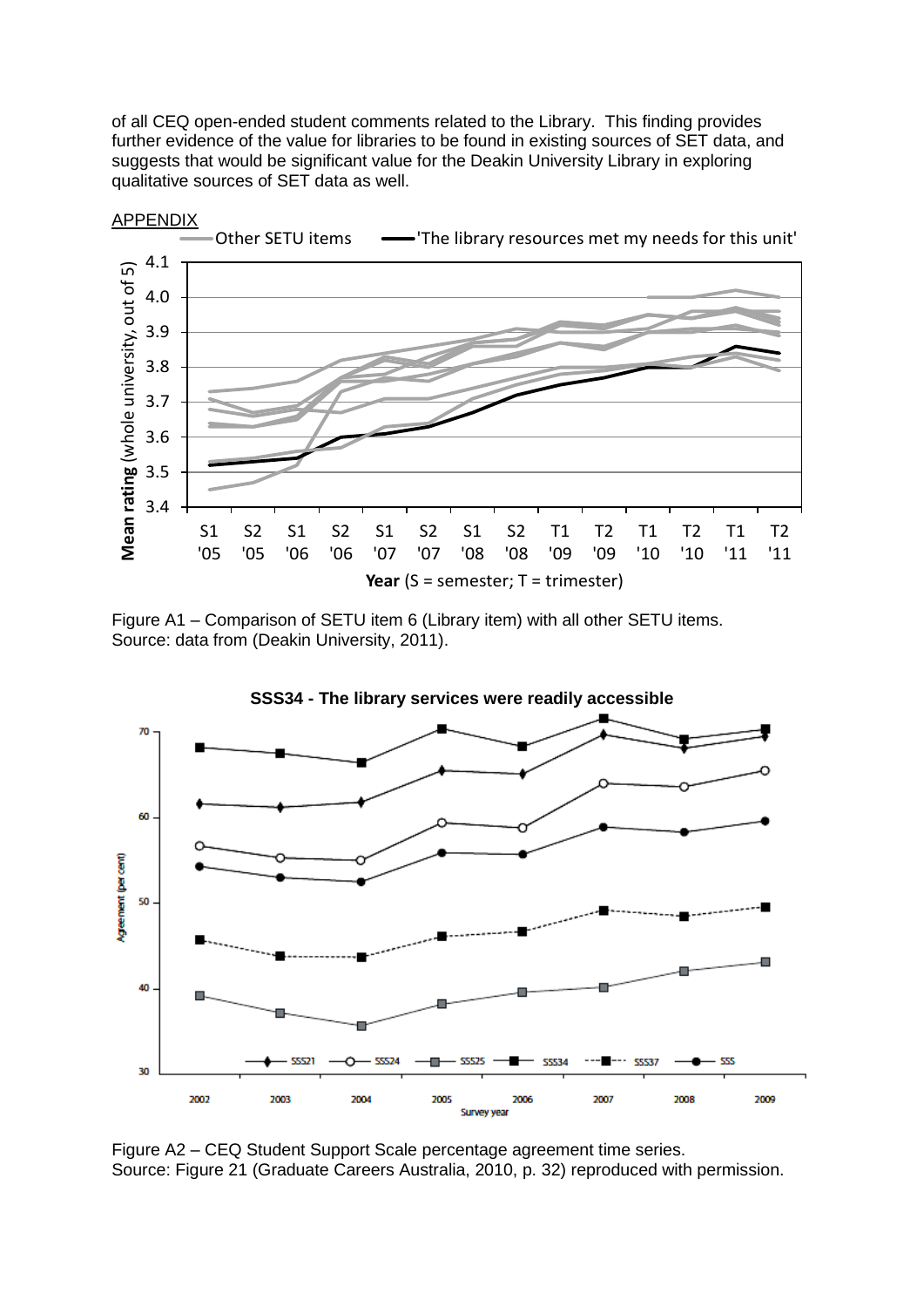of all CEQ open-ended student comments related to the Library. This finding provides further evidence of the value for libraries to be found in existing sources of SET data, and suggests that would be significant value for the Deakin University Library in exploring qualitative sources of SET data as well.



Figure A1 – Comparison of SETU item 6 (Library item) with all other SETU items. Source: data from [\(Deakin University, 2011\)](#page-10-5).



Figure A2 – CEQ Student Support Scale percentage agreement time series. Source: Figure 21 [\(Graduate Careers Australia, 2010, p. 32\)](#page-11-11) reproduced with permission.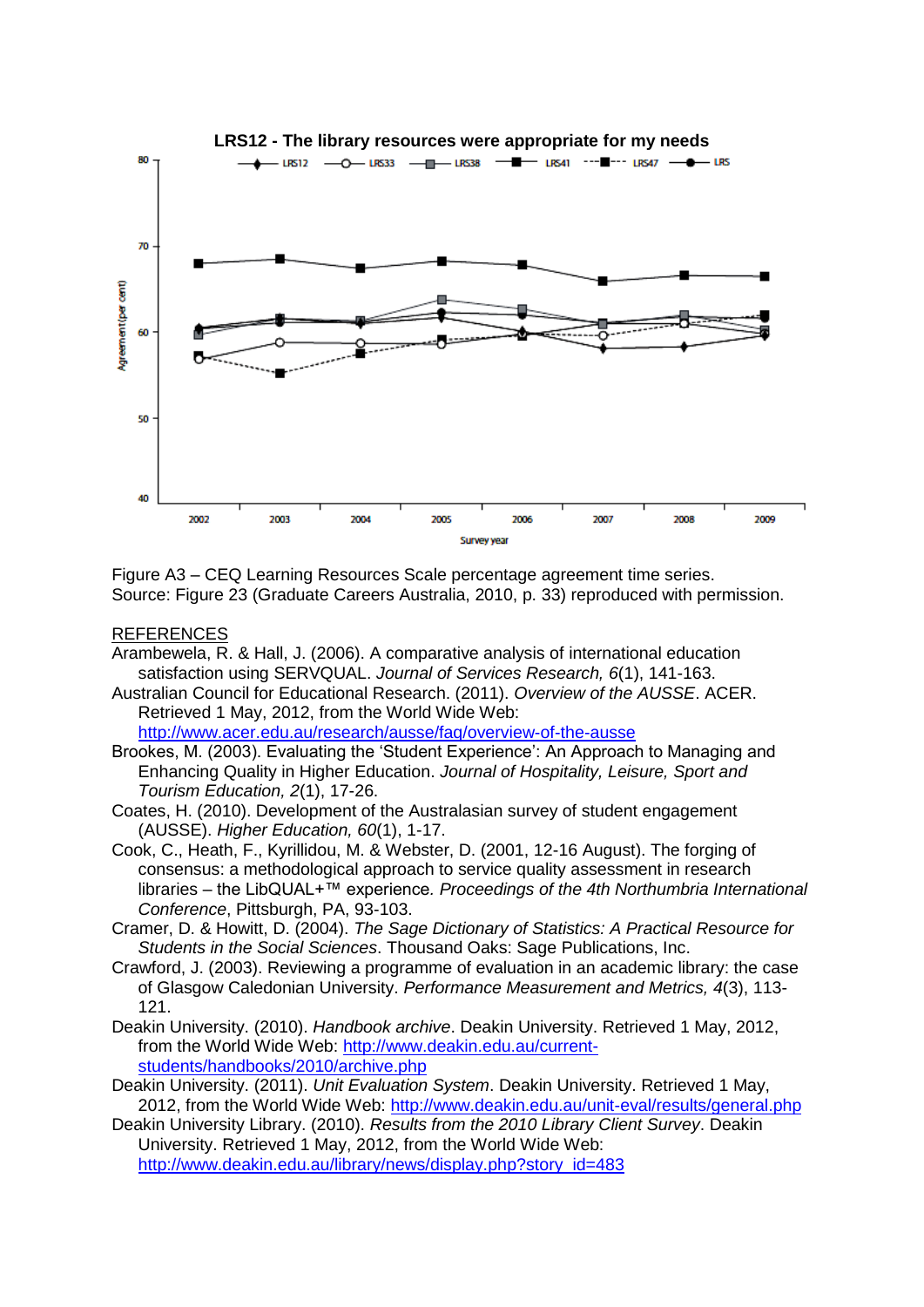

Figure A3 – CEQ Learning Resources Scale percentage agreement time series. Source: Figure 23 [\(Graduate Careers Australia, 2010, p. 33\)](#page-11-11) reproduced with permission.

#### REFERENCES

- <span id="page-10-3"></span>Arambewela, R. & Hall, J. (2006). A comparative analysis of international education satisfaction using SERVQUAL. *Journal of Services Research, 6*(1), 141-163.
- <span id="page-10-7"></span>Australian Council for Educational Research. (2011). *Overview of the AUSSE*. ACER. Retrieved 1 May, 2012, from the World Wide Web:

<http://www.acer.edu.au/research/ausse/faq/overview-of-the-ausse>

- <span id="page-10-4"></span>Brookes, M. (2003). Evaluating the "Student Experience": An Approach to Managing and Enhancing Quality in Higher Education. *Journal of Hospitality, Leisure, Sport and Tourism Education, 2*(1), 17-26.
- <span id="page-10-8"></span>Coates, H. (2010). Development of the Australasian survey of student engagement (AUSSE). *Higher Education, 60*(1), 1-17.
- <span id="page-10-0"></span>Cook, C., Heath, F., Kyrillidou, M. & Webster, D. (2001, 12-16 August). The forging of consensus: a methodological approach to service quality assessment in research libraries – the LibQUAL+™ experience*. Proceedings of the 4th Northumbria International Conference*, Pittsburgh, PA, 93-103.
- <span id="page-10-9"></span>Cramer, D. & Howitt, D. (2004). *The Sage Dictionary of Statistics: A Practical Resource for Students in the Social Sciences*. Thousand Oaks: Sage Publications, Inc.
- <span id="page-10-1"></span>Crawford, J. (2003). Reviewing a programme of evaluation in an academic library: the case of Glasgow Caledonian University. *Performance Measurement and Metrics, 4*(3), 113- 121.
- <span id="page-10-6"></span>Deakin University. (2010). *Handbook archive*. Deakin University. Retrieved 1 May, 2012, from the World Wide Web: [http://www.deakin.edu.au/current](http://www.deakin.edu.au/current-students/handbooks/2010/archive.php)[students/handbooks/2010/archive.php](http://www.deakin.edu.au/current-students/handbooks/2010/archive.php)
- <span id="page-10-5"></span>Deakin University. (2011). *Unit Evaluation System*. Deakin University. Retrieved 1 May, 2012, from the World Wide Web:<http://www.deakin.edu.au/unit-eval/results/general.php>

<span id="page-10-2"></span>Deakin University Library. (2010). *Results from the 2010 Library Client Survey*. Deakin University. Retrieved 1 May, 2012, from the World Wide Web: [http://www.deakin.edu.au/library/news/display.php?story\\_id=483](http://www.deakin.edu.au/library/news/display.php?story_id=483)